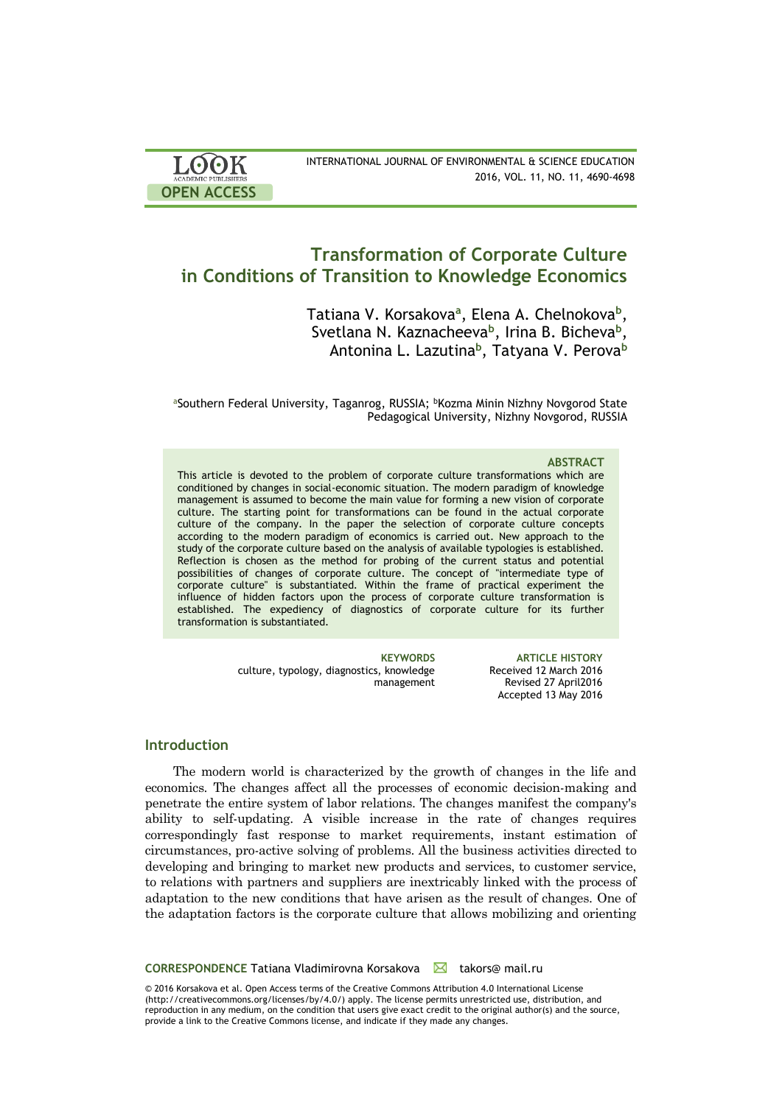| LOOK                | INTERNATIONAL JOURNAL OF ENVIRONMENTAL & SCIENCE EDUCATION |
|---------------------|------------------------------------------------------------|
| ACADEMIC PUBLISHERS | 2016, VOL. 11, NO. 11, 4690-4698                           |
| <b>OPEN ACCESS</b>  |                                                            |

# **Transformation of Corporate Culture in Conditions of Transition to Knowledge Economics**

Tatiana V. Korsakova<sup>a</sup>, Elena A. Chelnokova<sup>b</sup>, Svetlana N. Kaznacheeva**<sup>b</sup>** , Irina B. Bicheva**<sup>b</sup>** , Antonina L. Lazutina**<sup>b</sup>** , Tatyana V. Perova**<sup>b</sup>**

aSouthern Federal University, Taganrog, RUSSIA; <sup>b</sup>Kozma Minin Nizhny Novgorod State Pedagogical University, Nizhny Novgorod, RUSSIA

#### **ABSTRACT**

This article is devoted to the problem of corporate culture transformations which are conditioned by changes in social-economic situation. The modern paradigm of knowledge management is assumed to become the main value for forming a new vision of corporate culture. The starting point for transformations can be found in the actual corporate culture of the company. In the paper the selection of corporate culture concepts according to the modern paradigm of economics is carried out. New approach to the study of the corporate culture based on the analysis of available typologies is established. Reflection is chosen as the method for probing of the current status and potential possibilities of changes of corporate culture. The concept of "intermediate type of corporate culture" is substantiated. Within the frame of practical experiment the influence of hidden factors upon the process of corporate culture transformation is established. The expediency of diagnostics of corporate culture for its further transformation is substantiated.

> culture, typology, diagnostics, knowledge management

**KEYWORDS ARTICLE HISTORY** Received 12 March 2016 Revised 27 April2016 Accepted 13 May 2016

# **Introduction**

The modern world is characterized by the growth of changes in the life and economics. The changes affect all the processes of economic decision-making and penetrate the entire system of labor relations. The changes manifest the company's ability to self-updating. A visible increase in the rate of changes requires correspondingly fast response to market requirements, instant estimation of circumstances, pro-active solving of problems. All the business activities directed to developing and bringing to market new products and services, to customer service, to relations with partners and suppliers are inextricably linked with the process of adaptation to the new conditions that have arisen as the result of changes. One of the adaptation factors is the corporate culture that allows mobilizing and orienting

#### **CORRESPONDENCE** Tatiana Vladimirovna Korsakova **kaza takors**@ mail.ru

© 2016 Korsakova et al. Open Access terms of the Creative Commons Attribution 4.0 International License (http://creativecommons.org/licenses/by/4.0/) apply. The license permits unrestricted use, distribution, and reproduction in any medium, on the condition that users give exact credit to the original author(s) and the source, provide a link to the Creative Commons license, and indicate if they made any changes.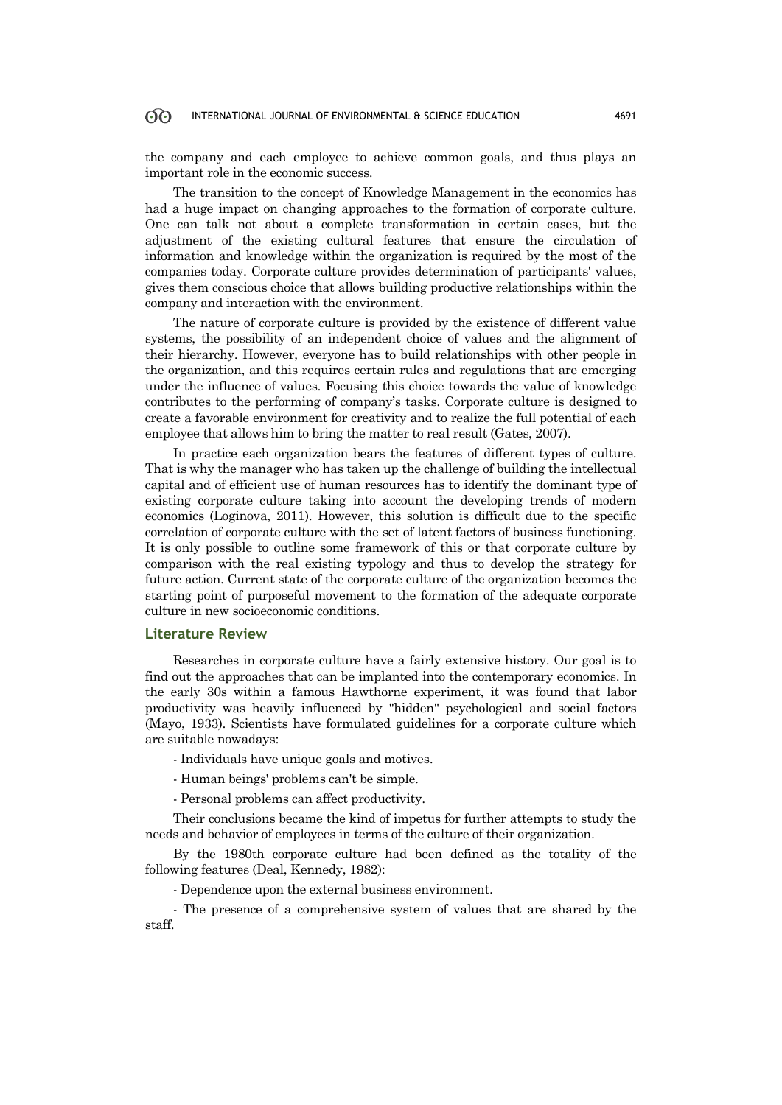the company and each employee to achieve common goals, and thus plays an important role in the economic success.

The transition to the concept of Knowledge Management in the economics has had a huge impact on changing approaches to the formation of corporate culture. One can talk not about a complete transformation in certain cases, but the adjustment of the existing cultural features that ensure the circulation of information and knowledge within the organization is required by the most of the companies today. Corporate culture provides determination of participants' values, gives them conscious choice that allows building productive relationships within the company and interaction with the environment.

The nature of corporate culture is provided by the existence of different value systems, the possibility of an independent choice of values and the alignment of their hierarchy. However, everyone has to build relationships with other people in the organization, and this requires certain rules and regulations that are emerging under the influence of values. Focusing this choice towards the value of knowledge contributes to the performing of company's tasks. Corporate culture is designed to create a favorable environment for creativity and to realize the full potential of each employee that allows him to bring the matter to real result (Gates, 2007).

In practice each organization bears the features of different types of culture. That is why the manager who has taken up the challenge of building the intellectual capital and of efficient use of human resources has to identify the dominant type of existing corporate culture taking into account the developing trends of modern economics (Loginova, 2011). However, this solution is difficult due to the specific correlation of corporate culture with the set of latent factors of business functioning. It is only possible to outline some framework of this or that corporate culture by comparison with the real existing typology and thus to develop the strategy for future action. Current state of the corporate culture of the organization becomes the starting point of purposeful movement to the formation of the adequate corporate culture in new socioeconomic conditions.

# **Literature Review**

Researches in corporate culture have a fairly extensive history. Our goal is to find out the approaches that can be implanted into the contemporary economics. In the early 30s within a famous Hawthorne experiment, it was found that labor productivity was heavily influenced by "hidden" psychological and social factors (Mayo, 1933). Scientists have formulated guidelines for a corporate culture which are suitable nowadays:

- Individuals have unique goals and motives.

- Human beings' problems can't be simple.
- Personal problems can affect productivity.

Their conclusions became the kind of impetus for further attempts to study the needs and behavior of employees in terms of the culture of their organization.

By the 1980th corporate culture had been defined as the totality of the following features (Deal, Kennedy, 1982):

- Dependence upon the external business environment.

- The presence of a comprehensive system of values that are shared by the staff.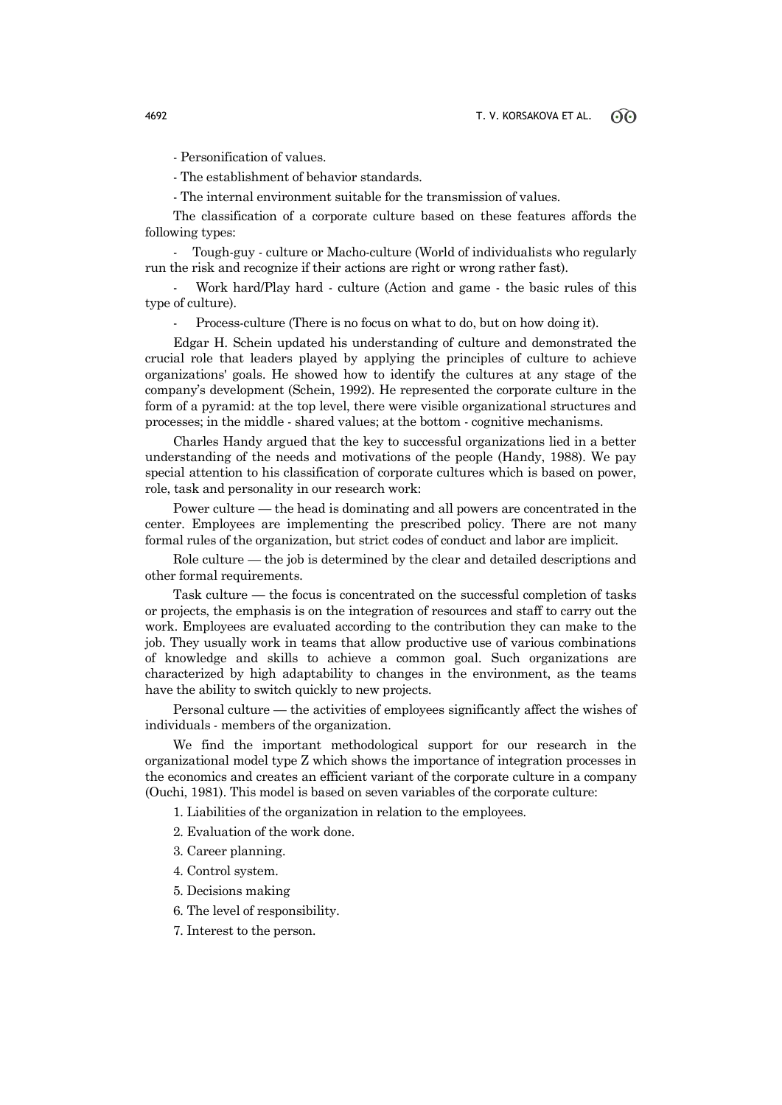- Personification of values.

- The establishment of behavior standards.

- The internal environment suitable for the transmission of values.

The classification of a corporate culture based on these features affords the following types:

- Tough-guy - culture or Macho-culture (World of individualists who regularly run the risk and recognize if their actions are right or wrong rather fast).

Work hard/Play hard - culture (Action and game - the basic rules of this type of culture).

Process-culture (There is no focus on what to do, but on how doing it).

Edgar H. Schein updated his understanding of culture and demonstrated the crucial role that leaders played by applying the principles of culture to achieve organizations' goals. He showed how to identify the cultures at any stage of the company's development (Schein, 1992). He represented the corporate culture in the form of a pyramid: at the top level, there were visible organizational structures and processes; in the middle - shared values; at the bottom - cognitive mechanisms.

Charles Handy argued that the key to successful organizations lied in a better understanding of the needs and motivations of the people (Handy, 1988). We pay special attention to his classification of corporate cultures which is based on power, role, task and personality in our research work:

Power culture — the head is dominating and all powers are concentrated in the center. Employees are implementing the prescribed policy. There are not many formal rules of the organization, but strict codes of conduct and labor are implicit.

Role culture — the job is determined by the clear and detailed descriptions and other formal requirements.

Task culture — the focus is concentrated on the successful completion of tasks or projects, the emphasis is on the integration of resources and staff to carry out the work. Employees are evaluated according to the contribution they can make to the job. They usually work in teams that allow productive use of various combinations of knowledge and skills to achieve a common goal. Such organizations are characterized by high adaptability to changes in the environment, as the teams have the ability to switch quickly to new projects.

Personal culture — the activities of employees significantly affect the wishes of individuals - members of the organization.

We find the important methodological support for our research in the organizational model type Z which shows the importance of integration processes in the economics and creates an efficient variant of the corporate culture in a company (Ouchi, 1981). This model is based on seven variables of the corporate culture:

1. Liabilities of the organization in relation to the employees.

2. Evaluation of the work done.

3. Career planning.

- 4. Control system.
- 5. Decisions making
- 6. The level of responsibility.
- 7. Interest to the person.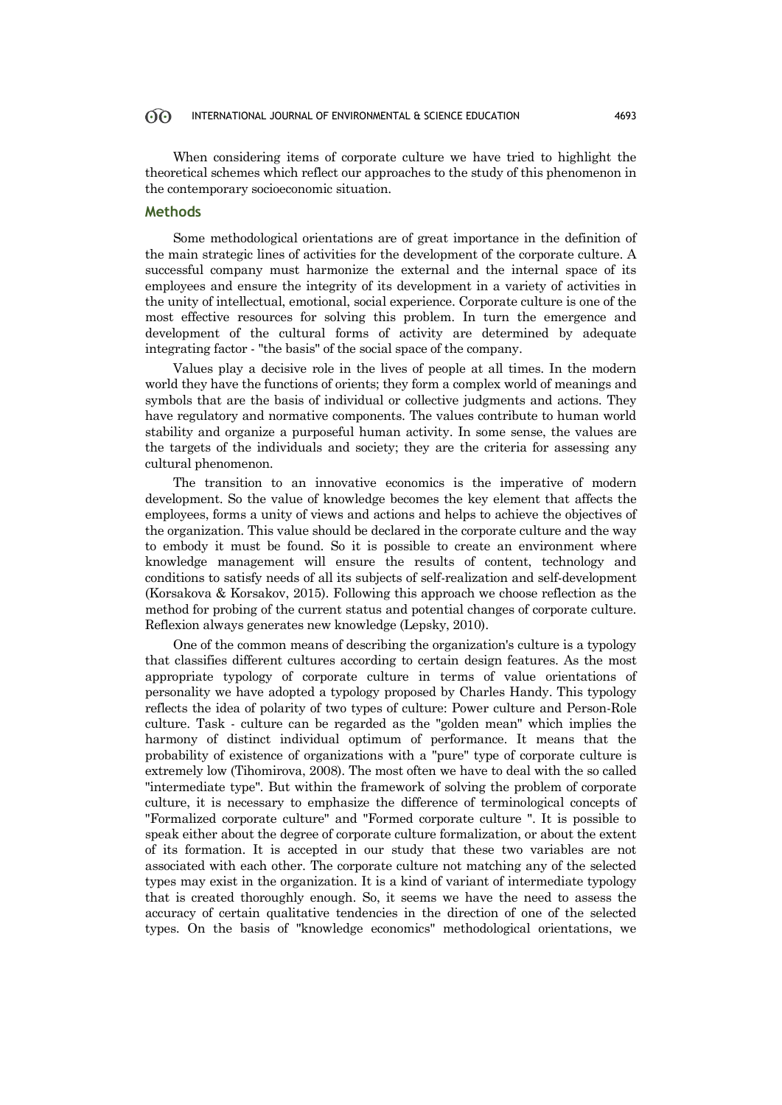When considering items of corporate culture we have tried to highlight the theoretical schemes which reflect our approaches to the study of this phenomenon in the contemporary socioeconomic situation.

# **Methods**

Some methodological orientations are of great importance in the definition of the main strategic lines of activities for the development of the corporate culture. A successful company must harmonize the external and the internal space of its employees and ensure the integrity of its development in a variety of activities in the unity of intellectual, emotional, social experience. Corporate culture is one of the most effective resources for solving this problem. In turn the emergence and development of the cultural forms of activity are determined by adequate integrating factor - "the basis" of the social space of the company.

Values play a decisive role in the lives of people at all times. In the modern world they have the functions of orients; they form a complex world of meanings and symbols that are the basis of individual or collective judgments and actions. They have regulatory and normative components. The values contribute to human world stability and organize a purposeful human activity. In some sense, the values are the targets of the individuals and society; they are the criteria for assessing any cultural phenomenon.

The transition to an innovative economics is the imperative of modern development. So the value of knowledge becomes the key element that affects the employees, forms a unity of views and actions and helps to achieve the objectives of the organization. This value should be declared in the corporate culture and the way to embody it must be found. So it is possible to create an environment where knowledge management will ensure the results of content, technology and conditions to satisfy needs of all its subjects of self-realization and self-development (Korsakova & Korsakov, 2015). Following this approach we choose reflection as the method for probing of the current status and potential changes of corporate culture. Reflexion always generates new knowledge (Lepsky, 2010).

One of the common means of describing the organization's culture is a typology that classifies different cultures according to certain design features. As the most appropriate typology of corporate culture in terms of value orientations of personality we have adopted a typology proposed by Charles Handy. This typology reflects the idea of polarity of two types of culture: Power culture and Person-Role culture. Task - culture can be regarded as the "golden mean" which implies the harmony of distinct individual optimum of performance. It means that the probability of existence of organizations with a "pure" type of corporate culture is extremely low (Tihomirova, 2008). The most often we have to deal with the so called "intermediate type". But within the framework of solving the problem of corporate culture, it is necessary to emphasize the difference of terminological concepts of "Formalized corporate culture" and "Formed corporate culture ". It is possible to speak either about the degree of corporate culture formalization, or about the extent of its formation. It is accepted in our study that these two variables are not associated with each other. The corporate culture not matching any of the selected types may exist in the organization. It is a kind of variant of intermediate typology that is created thoroughly enough. So, it seems we have the need to assess the accuracy of certain qualitative tendencies in the direction of one of the selected types. On the basis of "knowledge economics" methodological orientations, we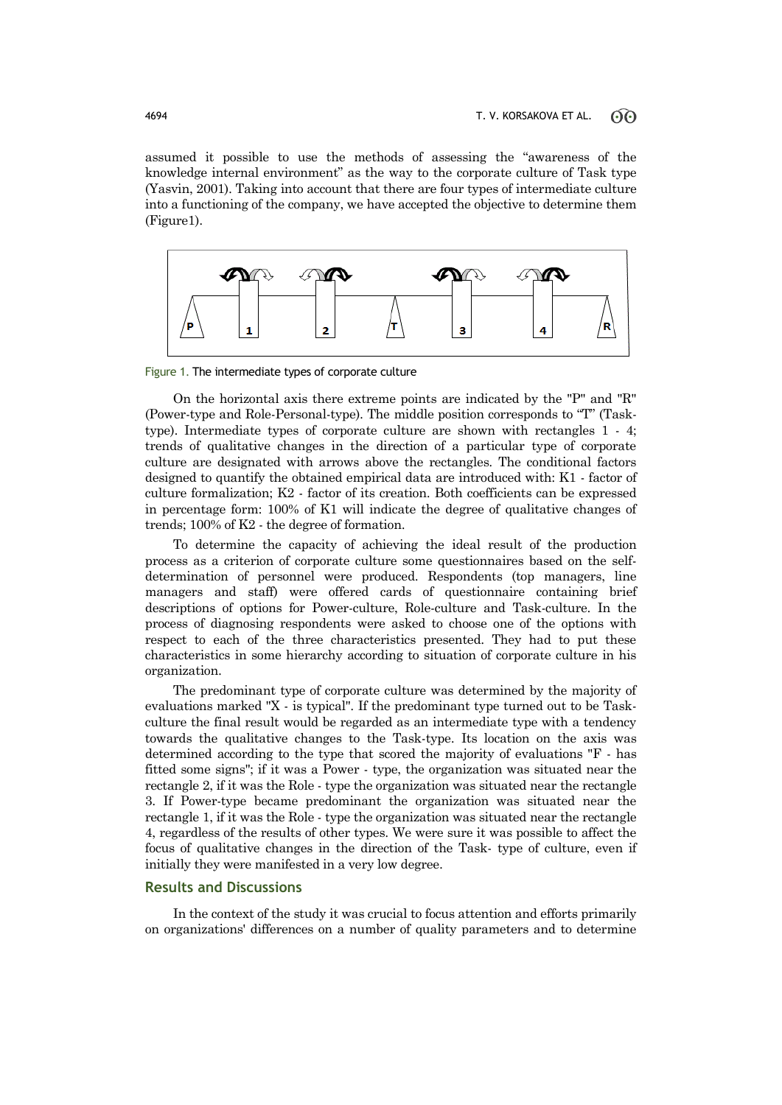assumed it possible to use the methods of assessing the "awareness of the knowledge internal environment" as the way to the corporate culture of Task type (Yasvin, 2001). Taking into account that there are four types of intermediate culture into a functioning of the company, we have accepted the objective to determine them (Figure1).



Figure 1. The intermediate types of corporate culture

On the horizontal axis there extreme points are indicated by the "P" and "R" (Power-type and Role-Personal-type). The middle position corresponds to "T" (Tasktype). Intermediate types of corporate culture are shown with rectangles 1 - 4; trends of qualitative changes in the direction of a particular type of corporate culture are designated with arrows above the rectangles. The conditional factors designed to quantify the obtained empirical data are introduced with: K1 - factor of culture formalization; K2 - factor of its creation. Both coefficients can be expressed in percentage form: 100% of K1 will indicate the degree of qualitative changes of trends; 100% of K2 - the degree of formation.

To determine the capacity of achieving the ideal result of the production process as a criterion of corporate culture some questionnaires based on the selfdetermination of personnel were produced. Respondents (top managers, line managers and staff) were offered cards of questionnaire containing brief descriptions of options for Power-culture, Role-culture and Task-culture. In the process of diagnosing respondents were asked to choose one of the options with respect to each of the three characteristics presented. They had to put these characteristics in some hierarchy according to situation of corporate culture in his organization.

The predominant type of corporate culture was determined by the majority of evaluations marked "X - is typical". If the predominant type turned out to be Taskculture the final result would be regarded as an intermediate type with a tendency towards the qualitative changes to the Task-type. Its location on the axis was determined according to the type that scored the majority of evaluations "F - has fitted some signs"; if it was a Power - type, the organization was situated near the rectangle 2, if it was the Role - type the organization was situated near the rectangle 3. If Power-type became predominant the organization was situated near the rectangle 1, if it was the Role - type the organization was situated near the rectangle 4, regardless of the results of other types. We were sure it was possible to affect the focus of qualitative changes in the direction of the Task- type of culture, even if initially they were manifested in a very low degree.

## **Results and Discussions**

In the context of the study it was crucial to focus attention and efforts primarily on organizations' differences on a number of quality parameters and to determine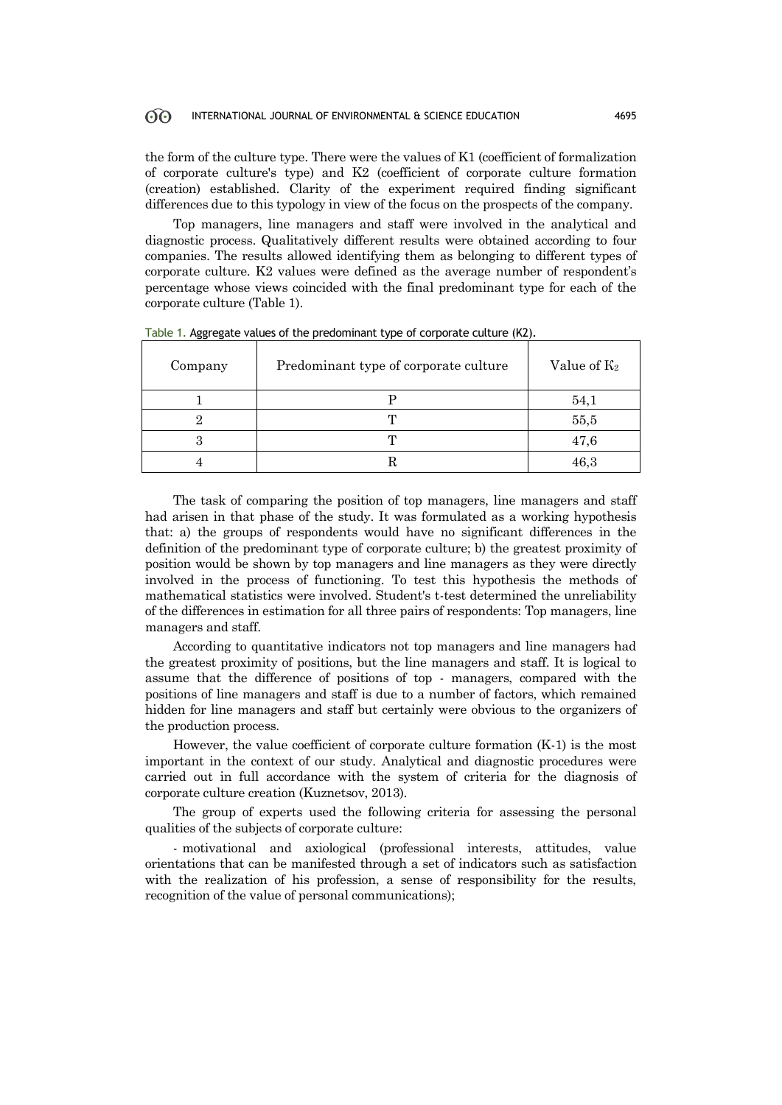the form of the culture type. There were the values of K1 (coefficient of formalization of corporate culture's type) and K2 (coefficient of corporate culture formation (creation) established. Clarity of the experiment required finding significant differences due to this typology in view of the focus on the prospects of the company.

Top managers, line managers and staff were involved in the analytical and diagnostic process. Qualitatively different results were obtained according to four companies. The results allowed identifying them as belonging to different types of corporate culture. K2 values were defined as the average number of respondent's percentage whose views coincided with the final predominant type for each of the corporate culture (Table 1).

| Company | Predominant type of corporate culture | Value of $K_2$ |
|---------|---------------------------------------|----------------|
|         |                                       | 54,1           |
|         |                                       | 55,5           |
|         |                                       | 47,6           |
|         |                                       | 46,3           |

Table 1. Aggregate values of the predominant type of corporate culture (K2).

The task of comparing the position of top managers, line managers and staff had arisen in that phase of the study. It was formulated as a working hypothesis that: a) the groups of respondents would have no significant differences in the definition of the predominant type of corporate culture; b) the greatest proximity of position would be shown by top managers and line managers as they were directly involved in the process of functioning. To test this hypothesis the methods of mathematical statistics were involved. Student's t-test determined the unreliability of the differences in estimation for all three pairs of respondents: Top managers, line managers and staff.

According to quantitative indicators not top managers and line managers had the greatest proximity of positions, but the line managers and staff. It is logical to assume that the difference of positions of top - managers, compared with the positions of line managers and staff is due to a number of factors, which remained hidden for line managers and staff but certainly were obvious to the organizers of the production process.

However, the value coefficient of corporate culture formation (K-1) is the most important in the context of our study. Analytical and diagnostic procedures were carried out in full accordance with the system of criteria for the diagnosis of corporate culture creation (Kuznetsov, 2013).

The group of experts used the following criteria for assessing the personal qualities of the subjects of corporate culture:

- motivational and axiological (professional interests, attitudes, value orientations that can be manifested through a set of indicators such as satisfaction with the realization of his profession, a sense of responsibility for the results, recognition of the value of personal communications);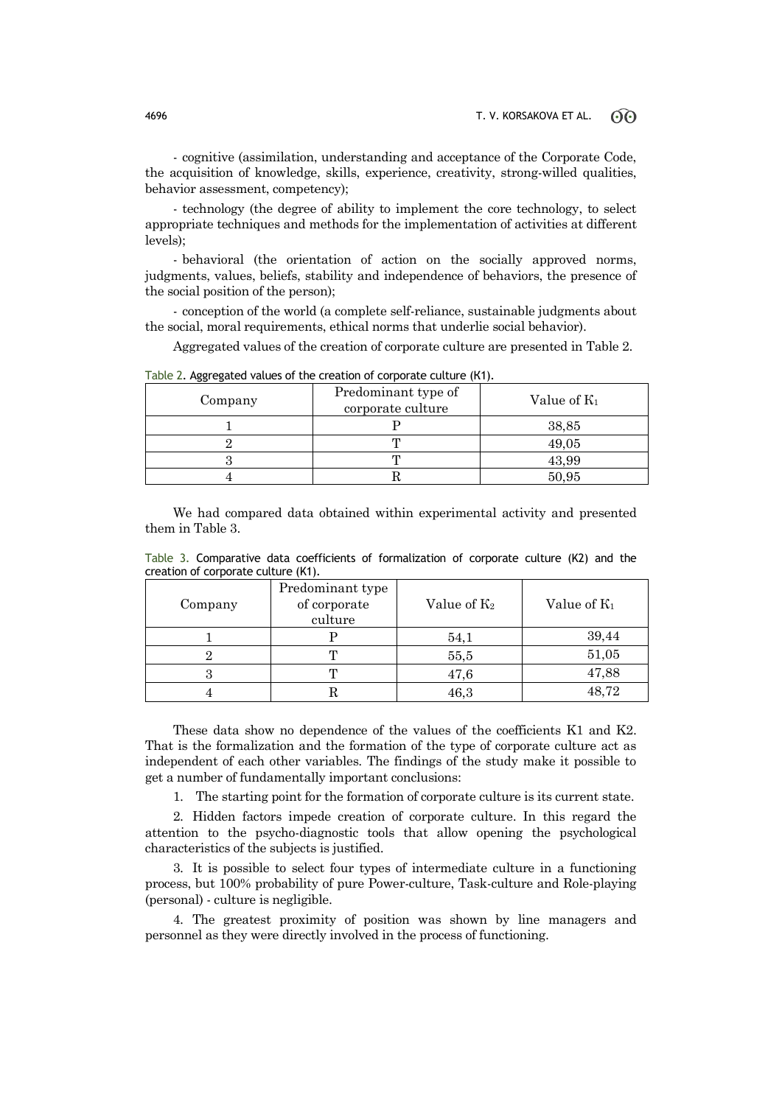- cognitive (assimilation, understanding and acceptance of the Corporate Code, the acquisition of knowledge, skills, experience, creativity, strong-willed qualities, behavior assessment, competency);

- technology (the degree of ability to implement the core technology, to select appropriate techniques and methods for the implementation of activities at different levels);

- behavioral (the orientation of action on the socially approved norms, judgments, values, beliefs, stability and independence of behaviors, the presence of the social position of the person);

- conception of the world (a complete self-reliance, sustainable judgments about the social, moral requirements, ethical norms that underlie social behavior).

Aggregated values of the creation of corporate culture are presented in Table 2.

| ິ<br>Company | Predominant type of | Value of $K_1$ |  |
|--------------|---------------------|----------------|--|
|              | corporate culture   |                |  |
|              |                     | 38,85          |  |
|              |                     | 49,05          |  |
|              |                     | 43,99          |  |
|              |                     | 50.95          |  |

Table 2. Aggregated values of the creation of corporate culture (К1).

We had compared data obtained within experimental activity and presented them in Table 3.

Table 3. Comparative data coefficients of formalization of corporate culture (K2) and the creation of corporate culture (K1).

| Company | Predominant type<br>of corporate<br>culture | Value of K <sub>2</sub> | Value of K <sub>1</sub> |
|---------|---------------------------------------------|-------------------------|-------------------------|
|         |                                             | 54,1                    | 39,44                   |
|         | m                                           | 55,5                    | 51,05                   |
| ٠)      | m                                           | 47,6                    | 47,88                   |
|         |                                             | 46,3                    | 48,72                   |

These data show no dependence of the values of the coefficients K1 and K2. That is the formalization and the formation of the type of corporate culture act as independent of each other variables. The findings of the study make it possible to get a number of fundamentally important conclusions:

1. The starting point for the formation of corporate culture is its current state.

2. Hidden factors impede creation of corporate culture. In this regard the attention to the psycho-diagnostic tools that allow opening the psychological characteristics of the subjects is justified.

3. It is possible to select four types of intermediate culture in a functioning process, but 100% probability of pure Power-culture, Task-culture and Role-playing (personal) - culture is negligible.

4. The greatest proximity of position was shown by line managers and personnel as they were directly involved in the process of functioning.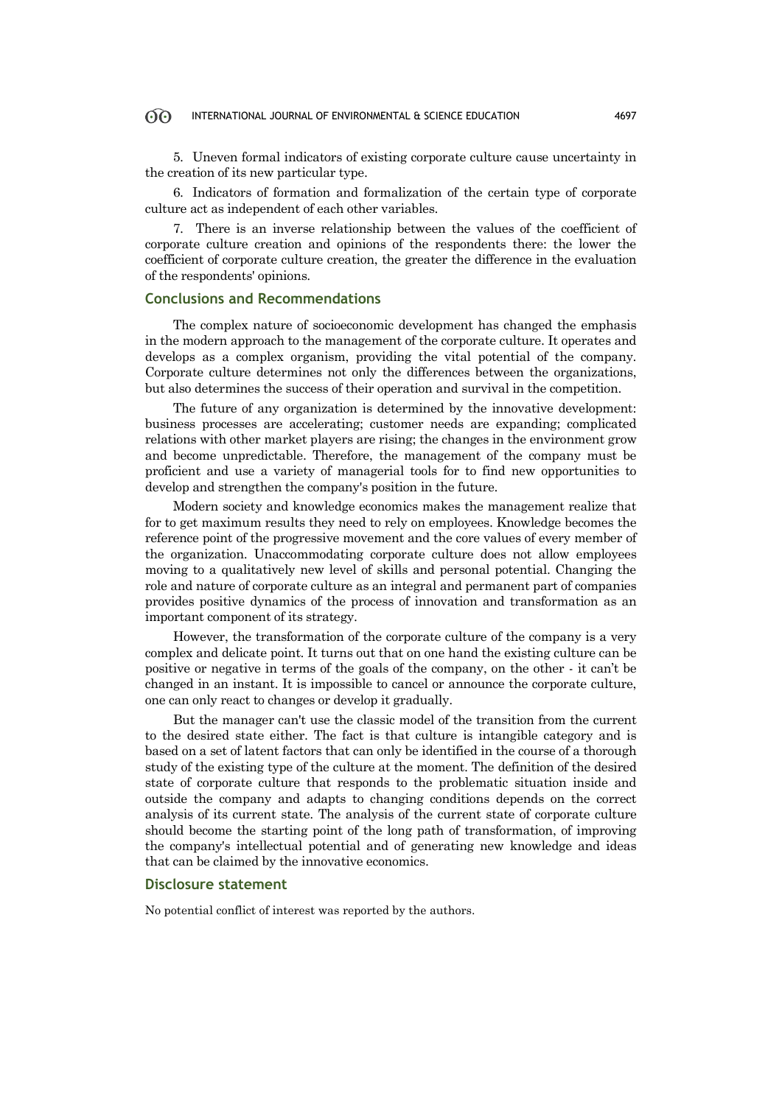5. Uneven formal indicators of existing corporate culture cause uncertainty in the creation of its new particular type.

6. Indicators of formation and formalization of the certain type of corporate culture act as independent of each other variables.

7. There is an inverse relationship between the values of the coefficient of corporate culture creation and opinions of the respondents there: the lower the coefficient of corporate culture creation, the greater the difference in the evaluation of the respondents' opinions.

### **Conclusions and Recommendations**

The complex nature of socioeconomic development has changed the emphasis in the modern approach to the management of the corporate culture. It operates and develops as a complex organism, providing the vital potential of the company. Corporate culture determines not only the differences between the organizations, but also determines the success of their operation and survival in the competition.

The future of any organization is determined by the innovative development: business processes are accelerating; customer needs are expanding; complicated relations with other market players are rising; the changes in the environment grow and become unpredictable. Therefore, the management of the company must be proficient and use a variety of managerial tools for to find new opportunities to develop and strengthen the company's position in the future.

Modern society and knowledge economics makes the management realize that for to get maximum results they need to rely on employees. Knowledge becomes the reference point of the progressive movement and the core values of every member of the organization. Unaccommodating corporate culture does not allow employees moving to a qualitatively new level of skills and personal potential. Changing the role and nature of corporate culture as an integral and permanent part of companies provides positive dynamics of the process of innovation and transformation as an important component of its strategy.

However, the transformation of the corporate culture of the company is a very complex and delicate point. It turns out that on one hand the existing culture can be positive or negative in terms of the goals of the company, on the other - it can't be changed in an instant. It is impossible to cancel or announce the corporate culture, one can only react to changes or develop it gradually.

But the manager can't use the classic model of the transition from the current to the desired state either. The fact is that culture is intangible category and is based on a set of latent factors that can only be identified in the course of a thorough study of the existing type of the culture at the moment. The definition of the desired state of corporate culture that responds to the problematic situation inside and outside the company and adapts to changing conditions depends on the correct analysis of its current state. The analysis of the current state of corporate culture should become the starting point of the long path of transformation, of improving the company's intellectual potential and of generating new knowledge and ideas that can be claimed by the innovative economics.

### **Disclosure statement**

No potential conflict of interest was reported by the authors.